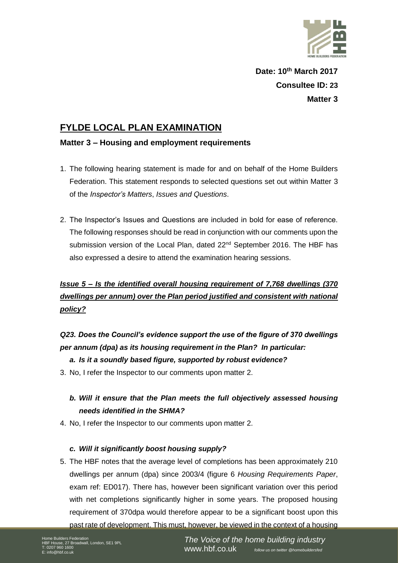

**Date: 10th March 2017 Consultee ID: 23 Matter 3**

## **FYLDE LOCAL PLAN EXAMINATION**

### **Matter 3 – Housing and employment requirements**

- 1. The following hearing statement is made for and on behalf of the Home Builders Federation. This statement responds to selected questions set out within Matter 3 of the *Inspector's Matters*, *Issues and Questions*.
- 2. The Inspector's Issues and Questions are included in bold for ease of reference. The following responses should be read in conjunction with our comments upon the submission version of the Local Plan, dated 22<sup>nd</sup> September 2016. The HBF has also expressed a desire to attend the examination hearing sessions.

# *Issue 5 – Is the identified overall housing requirement of 7,768 dwellings (370 dwellings per annum) over the Plan period justified and consistent with national policy?*

# *Q23. Does the Council's evidence support the use of the figure of 370 dwellings per annum (dpa) as its housing requirement in the Plan? In particular:*

### *a. Is it a soundly based figure, supported by robust evidence?*

3. No, I refer the Inspector to our comments upon matter 2.

## *b. Will it ensure that the Plan meets the full objectively assessed housing needs identified in the SHMA?*

4. No, I refer the Inspector to our comments upon matter 2.

#### *c. Will it significantly boost housing supply?*

5. The HBF notes that the average level of completions has been approximately 210 dwellings per annum (dpa) since 2003/4 (figure 6 *Housing Requirements Paper*, exam ref: ED017). There has, however been significant variation over this period with net completions significantly higher in some years. The proposed housing requirement of 370dpa would therefore appear to be a significant boost upon this past rate of development. This must, however, be viewed in the context of a housing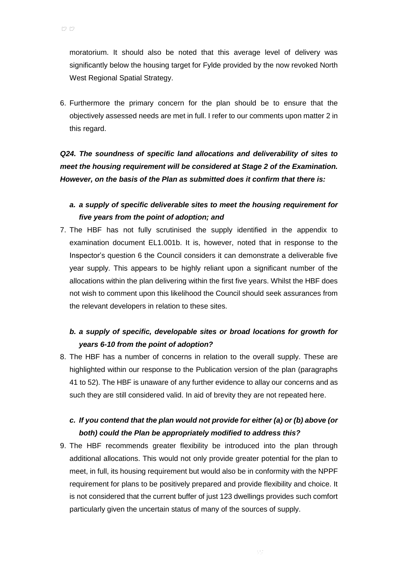moratorium. It should also be noted that this average level of delivery was significantly below the housing target for Fylde provided by the now revoked North West Regional Spatial Strategy.

6. Furthermore the primary concern for the plan should be to ensure that the objectively assessed needs are met in full. I refer to our comments upon matter 2 in this regard.

*Q24. The soundness of specific land allocations and deliverability of sites to meet the housing requirement will be considered at Stage 2 of the Examination. However, on the basis of the Plan as submitted does it confirm that there is:*

### *a. a supply of specific deliverable sites to meet the housing requirement for five years from the point of adoption; and*

7. The HBF has not fully scrutinised the supply identified in the appendix to examination document EL1.001b. It is, however, noted that in response to the Inspector's question 6 the Council considers it can demonstrate a deliverable five year supply. This appears to be highly reliant upon a significant number of the allocations within the plan delivering within the first five years. Whilst the HBF does not wish to comment upon this likelihood the Council should seek assurances from the relevant developers in relation to these sites.

## *b. a supply of specific, developable sites or broad locations for growth for years 6-10 from the point of adoption?*

8. The HBF has a number of concerns in relation to the overall supply. These are highlighted within our response to the Publication version of the plan (paragraphs 41 to 52). The HBF is unaware of any further evidence to allay our concerns and as such they are still considered valid. In aid of brevity they are not repeated here.

### *c. If you contend that the plan would not provide for either (a) or (b) above (or both) could the Plan be appropriately modified to address this?*

9. The HBF recommends greater flexibility be introduced into the plan through additional allocations. This would not only provide greater potential for the plan to meet, in full, its housing requirement but would also be in conformity with the NPPF requirement for plans to be positively prepared and provide flexibility and choice. It is not considered that the current buffer of just 123 dwellings provides such comfort particularly given the uncertain status of many of the sources of supply.